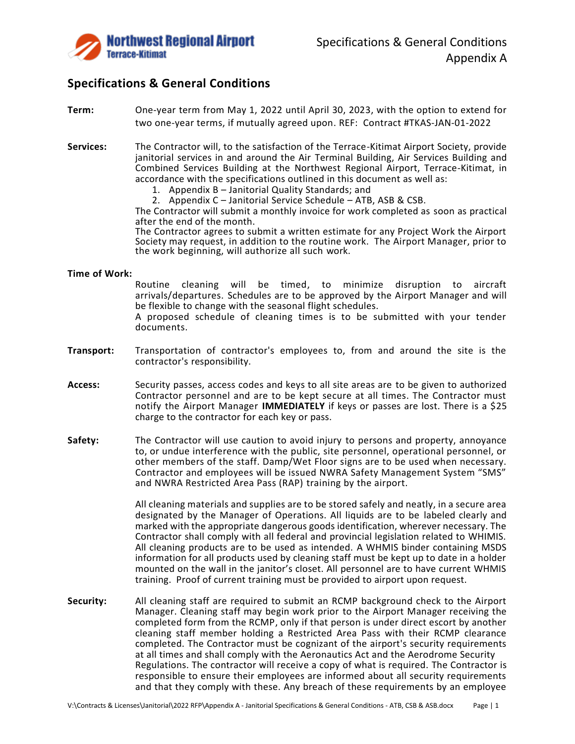

# **Specifications & General Conditions**

- **Term:** One-year term from May 1, 2022 until April 30, 2023, with the option to extend for two one-year terms, if mutually agreed upon. REF: Contract #TKAS-JAN-01-2022
- **Services:** The Contractor will, to the satisfaction of the Terrace-Kitimat Airport Society, provide janitorial services in and around the Air Terminal Building, Air Services Building and Combined Services Building at the Northwest Regional Airport, Terrace-Kitimat, in accordance with the specifications outlined in this document as well as:
	- 1. Appendix B Janitorial Quality Standards; and
	- 2. Appendix C Janitorial Service Schedule ATB, ASB & CSB.

The Contractor will submit a monthly invoice for work completed as soon as practical after the end of the month.

The Contractor agrees to submit a written estimate for any Project Work the Airport Society may request, in addition to the routine work. The Airport Manager, prior to the work beginning, will authorize all such work.

# **Time of Work:**

Routine cleaning will be timed, to minimize disruption to aircraft arrivals/departures. Schedules are to be approved by the Airport Manager and will be flexible to change with the seasonal flight schedules. A proposed schedule of cleaning times is to be submitted with your tender

documents.

- **Transport:** Transportation of contractor's employees to, from and around the site is the contractor's responsibility.
- **Access:** Security passes, access codes and keys to all site areas are to be given to authorized Contractor personnel and are to be kept secure at all times. The Contractor must notify the Airport Manager **IMMEDIATELY** if keys or passes are lost. There is a \$25 charge to the contractor for each key or pass.
- **Safety:** The Contractor will use caution to avoid injury to persons and property, annoyance to, or undue interference with the public, site personnel, operational personnel, or other members of the staff. Damp/Wet Floor signs are to be used when necessary. Contractor and employees will be issued NWRA Safety Management System "SMS" and NWRA Restricted Area Pass (RAP) training by the airport.

All cleaning materials and supplies are to be stored safely and neatly, in a secure area designated by the Manager of Operations. All liquids are to be labeled clearly and marked with the appropriate dangerous goods identification, wherever necessary. The Contractor shall comply with all federal and provincial legislation related to WHIMIS. All cleaning products are to be used as intended. A WHMIS binder containing MSDS information for all products used by cleaning staff must be kept up to date in a holder mounted on the wall in the janitor's closet. All personnel are to have current WHMIS training. Proof of current training must be provided to airport upon request.

**Security:** All cleaning staff are required to submit an RCMP background check to the Airport Manager. Cleaning staff may begin work prior to the Airport Manager receiving the completed form from the RCMP, only if that person is under direct escort by another cleaning staff member holding a Restricted Area Pass with their RCMP clearance completed. The Contractor must be cognizant of the airport's security requirements at all times and shall comply with the Aeronautics Act and the Aerodrome Security Regulations. The contractor will receive a copy of what is required. The Contractor is responsible to ensure their employees are informed about all security requirements and that they comply with these. Any breach of these requirements by an employee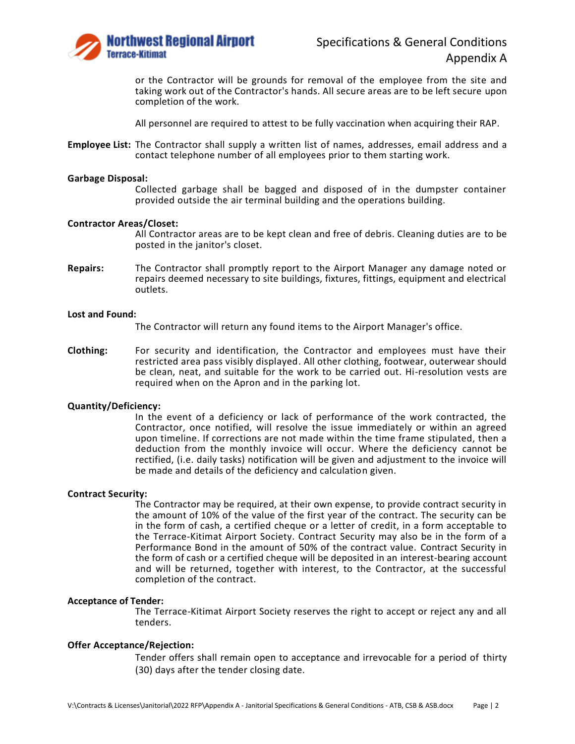

or the Contractor will be grounds for removal of the employee from the site and taking work out of the Contractor's hands. All secure areas are to be left secure upon completion of the work.

All personnel are required to attest to be fully vaccination when acquiring their RAP.

**Employee List:** The Contractor shall supply a written list of names, addresses, email address and a contact telephone number of all employees prior to them starting work.

## **Garbage Disposal:**

Collected garbage shall be bagged and disposed of in the dumpster container provided outside the air terminal building and the operations building.

## **Contractor Areas/Closet:**

All Contractor areas are to be kept clean and free of debris. Cleaning duties are to be posted in the janitor's closet.

**Repairs:** The Contractor shall promptly report to the Airport Manager any damage noted or repairs deemed necessary to site buildings, fixtures, fittings, equipment and electrical outlets.

## **Lost and Found:**

The Contractor will return any found items to the Airport Manager's office.

**Clothing:** For security and identification, the Contractor and employees must have their restricted area pass visibly displayed. All other clothing, footwear, outerwear should be clean, neat, and suitable for the work to be carried out. Hi-resolution vests are required when on the Apron and in the parking lot.

## **Quantity/Deficiency:**

In the event of a deficiency or lack of performance of the work contracted, the Contractor, once notified, will resolve the issue immediately or within an agreed upon timeline. If corrections are not made within the time frame stipulated, then a deduction from the monthly invoice will occur. Where the deficiency cannot be rectified, (i.e. daily tasks) notification will be given and adjustment to the invoice will be made and details of the deficiency and calculation given.

## **Contract Security:**

The Contractor may be required, at their own expense, to provide contract security in the amount of 10% of the value of the first year of the contract. The security can be in the form of cash, a certified cheque or a letter of credit, in a form acceptable to the Terrace-Kitimat Airport Society. Contract Security may also be in the form of a Performance Bond in the amount of 50% of the contract value. Contract Security in the form of cash or a certified cheque will be deposited in an interest-bearing account and will be returned, together with interest, to the Contractor, at the successful completion of the contract.

#### **Acceptance of Tender:**

The Terrace-Kitimat Airport Society reserves the right to accept or reject any and all tenders.

# **Offer Acceptance/Rejection:**

Tender offers shall remain open to acceptance and irrevocable for a period of thirty (30) days after the tender closing date.